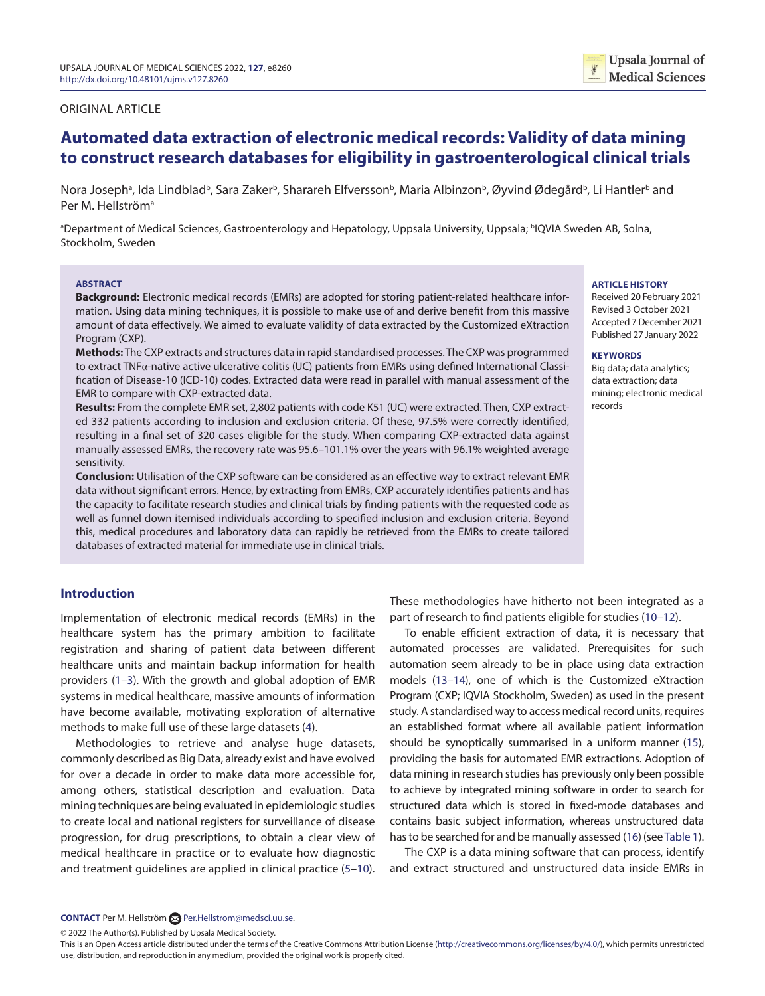### <span id="page-0-1"></span>ORIGINAL ARTICLE

# **Automated data extraction of electronic medical records: Validity of data mining to construct research databases for eligibility in gastroenterological clinical trials**

Nora Josephª, Ida Lindbladʰ, Sara Zakerʰ, Sharareh Elfverssonʰ, Maria Albinzonʰ, Øyvind Ødegårdʰ, Li Hantlerʰ and Per M. Hellström<sup>a</sup>

ªDepartment of Medical Sciences, Gastroenterology and Hepatology, Uppsala University, Uppsala; ʰIQVIA Sweden AB, Solna, Stockholm, Sweden

#### **ABSTRACT**

**Background:** Electronic medical records (EMRs) are adopted for storing patient-related healthcare information. Using data mining techniques, it is possible to make use of and derive benefit from this massive amount of data effectively. We aimed to evaluate validity of data extracted by the Customized eXtraction Program (CXP).

**Methods:** The CXP extracts and structures data in rapid standardised processes. The CXP was programmed to extract TNFα-native active ulcerative colitis (UC) patients from EMRs using defined International Classification of Disease-10 (ICD-10) codes. Extracted data were read in parallel with manual assessment of the EMR to compare with CXP-extracted data.

**Results:** From the complete EMR set, 2,802 patients with code K51 (UC) were extracted. Then, CXP extracted 332 patients according to inclusion and exclusion criteria. Of these, 97.5% were correctly identified, resulting in a final set of 320 cases eligible for the study. When comparing CXP-extracted data against manually assessed EMRs, the recovery rate was 95.6–101.1% over the years with 96.1% weighted average sensitivity.

**Conclusion:** Utilisation of the CXP software can be considered as an effective way to extract relevant EMR data without significant errors. Hence, by extracting from EMRs, CXP accurately identifies patients and has the capacity to facilitate research studies and clinical trials by finding patients with the requested code as well as funnel down itemised individuals according to specified inclusion and exclusion criteria. Beyond this, medical procedures and laboratory data can rapidly be retrieved from the EMRs to create tailored databases of extracted material for immediate use in clinical trials.

#### **ARTICLE HISTORY**

Received 20 February 2021 Revised 3 October 2021 Accepted 7 December 2021 Published 27 January 2022

#### **KEYWORDS**

<span id="page-0-9"></span><span id="page-0-6"></span>Big data; data analytics; data extraction; data mining; electronic medical records

# **Introduction**

<span id="page-0-2"></span>Implementation of electronic medical records (EMRs) in the healthcare system has the primary ambition to facilitate registration and sharing of patient data between different healthcare units and maintain backup information for health providers ([1–](#page-5-0)[3](#page-5-1)). With the growth and global adoption of EMR systems in medical healthcare, massive amounts of information have become available, motivating exploration of alternative methods to make full use of these large datasets ([4](#page-5-2)).

<span id="page-0-3"></span>Methodologies to retrieve and analyse huge datasets, commonly described as Big Data, already exist and have evolved for over a decade in order to make data more accessible for, among others, statistical description and evaluation. Data mining techniques are being evaluated in epidemiologic studies to create local and national registers for surveillance of disease progression, for drug prescriptions, to obtain a clear view of medical healthcare in practice or to evaluate how diagnostic and treatment guidelines are applied in clinical practice ([5–](#page-5-3)[10](#page-5-4)). These methodologies have hitherto not been integrated as a part of research to find patients eligible for studies ([10–](#page-5-4)[12](#page-5-5)).

<span id="page-0-8"></span><span id="page-0-7"></span>To enable efficient extraction of data, it is necessary that automated processes are validated. Prerequisites for such automation seem already to be in place using data extraction models [\(13–](#page-5-6)[14\)](#page-5-7), one of which is the Customized eXtraction Program (CXP; IQVIA Stockholm, Sweden) as used in the present study. A standardised way to access medical record units, requires an established format where all available patient information should be synoptically summarised in a uniform manner [\(15](#page-5-8)), providing the basis for automated EMR extractions. Adoption of data mining in research studies has previously only been possible to achieve by integrated mining software in order to search for structured data which is stored in fixed-mode databases and contains basic subject information, whereas unstructured data has to be searched for and be manually assessed [\(16\)](#page-5-9) (see [Table 1](#page-1-0)).

<span id="page-0-10"></span><span id="page-0-5"></span><span id="page-0-0"></span>The CXP is a data mining software that can process, identify and extract structured and unstructured data inside EMRs in

© 2022 The Author(s). Published by Upsala Medical Society.

<span id="page-0-4"></span>**CONTACT** Per M. Hellström **[Per.Hellstrom@medsci.uu.se](mailto:Per.Hellstrom@medsci.uu.se).** 

This is an Open Access article distributed under the terms of the Creative Commons Attribution License (<http://creativecommons.org/licenses/by/4.0/>), which permits unrestricted use, distribution, and reproduction in any medium, provided the original work is properly cited.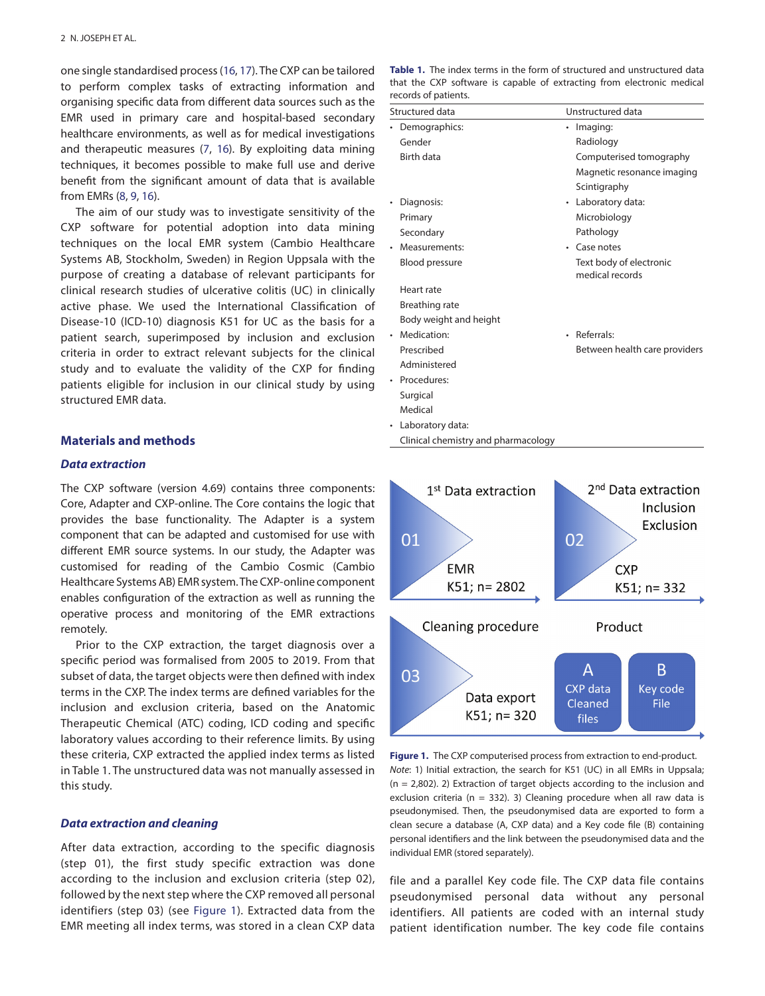one single standardised process ([16](#page-5-9), [17\)](#page-5-10). The CXP can be tailored to perform complex tasks of extracting information and organising specific data from different data sources such as the EMR used in primary care and hospital-based secondary healthcare environments, as well as for medical investigations and therapeutic measures ([7,](#page-5-11) [16](#page-5-9)). By exploiting data mining techniques, it becomes possible to make full use and derive benefit from the significant amount of data that is available from EMRs [\(8](#page-5-12), [9,](#page-5-13) [16](#page-5-9)).

<span id="page-1-4"></span><span id="page-1-3"></span><span id="page-1-2"></span>The aim of our study was to investigate sensitivity of the CXP software for potential adoption into data mining techniques on the local EMR system (Cambio Healthcare Systems AB, Stockholm, Sweden) in Region Uppsala with the purpose of creating a database of relevant participants for clinical research studies of ulcerative colitis (UC) in clinically active phase. We used the International Classification of Disease-10 (ICD-10) diagnosis K51 for UC as the basis for a patient search, superimposed by inclusion and exclusion criteria in order to extract relevant subjects for the clinical study and to evaluate the validity of the CXP for finding patients eligible for inclusion in our clinical study by using structured EMR data.

### **Materials and methods**

#### *Data extraction*

The CXP software (version 4.69) contains three components: Core, Adapter and CXP-online. The Core contains the logic that provides the base functionality. The Adapter is a system component that can be adapted and customised for use with different EMR source systems. In our study, the Adapter was customised for reading of the Cambio Cosmic (Cambio Healthcare Systems AB) EMR system. The CXP-online component enables configuration of the extraction as well as running the operative process and monitoring of the EMR extractions remotely.

Prior to the CXP extraction, the target diagnosis over a specific period was formalised from 2005 to 2019. From that subset of data, the target objects were then defined with index terms in the CXP. The index terms are defined variables for the inclusion and exclusion criteria, based on the Anatomic Therapeutic Chemical (ATC) coding, ICD coding and specific laboratory values according to their reference limits. By using these criteria, CXP extracted the applied index terms as listed in [Table 1](#page-1-0). The unstructured data was not manually assessed in this study.

#### *Data extraction and cleaning*

After data extraction, according to the specific diagnosis (step 01), the first study specific extraction was done according to the inclusion and exclusion criteria (step 02), followed by the next step where the CXP removed all personal identifiers (step 03) (see [Figure 1\)](#page-1-1). Extracted data from the EMR meeting all index terms, was stored in a clean CXP data

<span id="page-1-5"></span><span id="page-1-0"></span>

|                      |  |  |  |  |  | <b>Table 1.</b> The index terms in the form of structured and unstructured data |  |  |
|----------------------|--|--|--|--|--|---------------------------------------------------------------------------------|--|--|
|                      |  |  |  |  |  | that the CXP software is capable of extracting from electronic medical          |  |  |
| records of patients. |  |  |  |  |  |                                                                                 |  |  |

| Structured data        | Unstructured data                          |  |  |  |
|------------------------|--------------------------------------------|--|--|--|
| Demographics:          | Imaging:                                   |  |  |  |
| Gender                 | Radiology                                  |  |  |  |
| Birth data             | Computerised tomography                    |  |  |  |
|                        | Magnetic resonance imaging                 |  |  |  |
|                        | Scintigraphy                               |  |  |  |
| Diagnosis:             | Laboratory data:                           |  |  |  |
| Primary                | Microbiology                               |  |  |  |
| Secondary              | Pathology                                  |  |  |  |
| Measurements:          | Case notes                                 |  |  |  |
| Blood pressure         | Text body of electronic<br>medical records |  |  |  |
| Heart rate             |                                            |  |  |  |
| Breathing rate         |                                            |  |  |  |
| Body weight and height |                                            |  |  |  |
| Medication:            | Referrals:                                 |  |  |  |
| Prescribed             | Between health care providers              |  |  |  |
| Administered           |                                            |  |  |  |
| Procedures:            |                                            |  |  |  |
| Surgical               |                                            |  |  |  |
| Medical                |                                            |  |  |  |
| • Laboratory data:     |                                            |  |  |  |



Clinical chemistry and pharmacology

<span id="page-1-1"></span>**[Figure 1.](#page-0-1)** The CXP computerised process from extraction to end-product. *Note*: 1) Initial extraction, the search for K51 (UC) in all EMRs in Uppsala;  $(n = 2,802)$ . 2) Extraction of target objects according to the inclusion and exclusion criteria ( $n = 332$ ). 3) Cleaning procedure when all raw data is pseudonymised. Then, the pseudonymised data are exported to form a clean secure a database (A, CXP data) and a Key code file (B) containing personal identifiers and the link between the pseudonymised data and the individual EMR (stored separately).

file and a parallel Key code file. The CXP data file contains pseudonymised personal data without any personal identifiers. All patients are coded with an internal study patient identification number. The key code file contains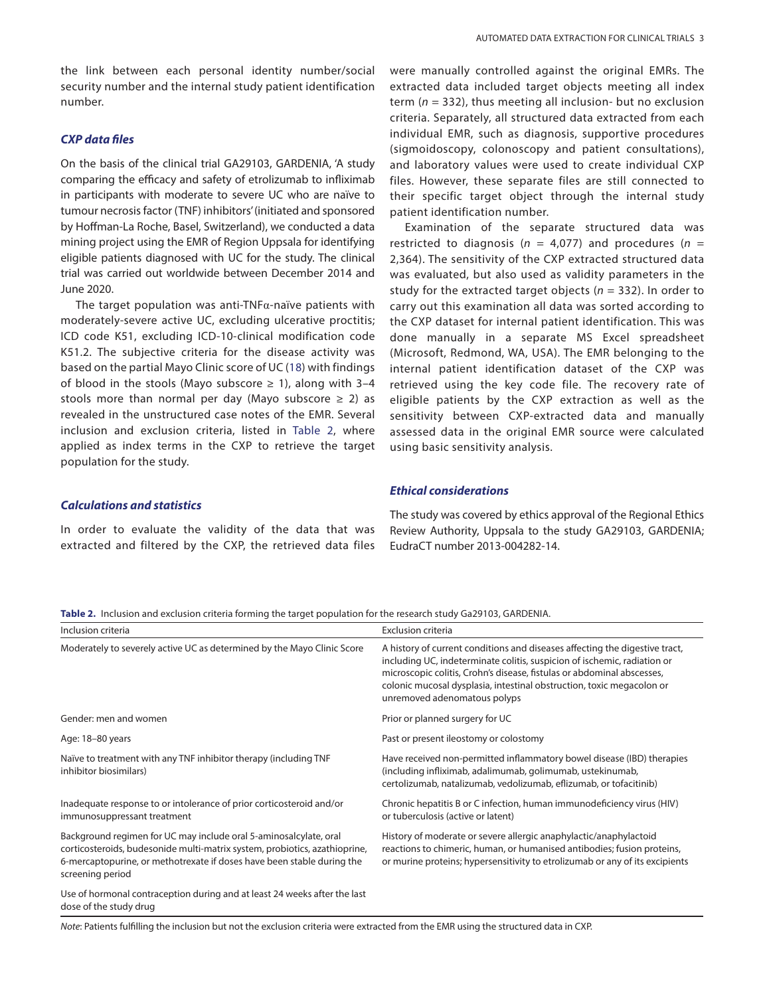### *CXP data files*

On the basis of the clinical trial GA29103, GARDENIA, 'A study comparing the efficacy and safety of etrolizumab to infliximab in participants with moderate to severe UC who are naïve to tumour necrosis factor (TNF) inhibitors' (initiated and sponsored by Hoffman-La Roche, Basel, Switzerland), we conducted a data mining project using the EMR of Region Uppsala for identifying eligible patients diagnosed with UC for the study. The clinical trial was carried out worldwide between December 2014 and June 2020.

The target population was anti-TNF $\alpha$ -naïve patients with moderately-severe active UC, excluding ulcerative proctitis; ICD code K51, excluding ICD-10-clinical modification code K51.2. The subjective criteria for the disease activity was based on the partial Mayo Clinic score of UC [\(18\)](#page-5-14) with findings of blood in the stools (Mayo subscore  $\geq$  1), along with 3-4 stools more than normal per day (Mayo subscore  $\geq$  2) as revealed in the unstructured case notes of the EMR. Several inclusion and exclusion criteria, listed in [Table 2,](#page-2-0) where applied as index terms in the CXP to retrieve the target population for the study.

#### *Calculations and statistics*

In order to evaluate the validity of the data that was extracted and filtered by the CXP, the retrieved data files were manually controlled against the original EMRs. The extracted data included target objects meeting all index term (*n* = 332), thus meeting all inclusion- but no exclusion criteria. Separately, all structured data extracted from each individual EMR, such as diagnosis, supportive procedures (sigmoidoscopy, colonoscopy and patient consultations), and laboratory values were used to create individual CXP files. However, these separate files are still connected to their specific target object through the internal study patient identification number.

Examination of the separate structured data was restricted to diagnosis ( $n = 4.077$ ) and procedures ( $n =$ 2,364). The sensitivity of the CXP extracted structured data was evaluated, but also used as validity parameters in the study for the extracted target objects (*n* = 332). In order to carry out this examination all data was sorted according to the CXP dataset for internal patient identification. This was done manually in a separate MS Excel spreadsheet (Microsoft, Redmond, WA, USA). The EMR belonging to the internal patient identification dataset of the CXP was retrieved using the key code file. The recovery rate of eligible patients by the CXP extraction as well as the sensitivity between CXP-extracted data and manually assessed data in the original EMR source were calculated using basic sensitivity analysis.

#### <span id="page-2-2"></span><span id="page-2-1"></span>*Ethical considerations*

The study was covered by ethics approval of the Regional Ethics Review Authority, Uppsala to the study GA29103, GARDENIA; EudraCT number 2013-004282-14.

<span id="page-2-0"></span>**[Table 2.](#page-2-1)** Inclusion and exclusion criteria forming the target population for the research study Ga29103, GARDENIA.

| Inclusion criteria                                                                                                                                                                                                                            | <b>Exclusion criteria</b>                                                                                                                                                                                                                                                                                                                  |
|-----------------------------------------------------------------------------------------------------------------------------------------------------------------------------------------------------------------------------------------------|--------------------------------------------------------------------------------------------------------------------------------------------------------------------------------------------------------------------------------------------------------------------------------------------------------------------------------------------|
| Moderately to severely active UC as determined by the Mayo Clinic Score                                                                                                                                                                       | A history of current conditions and diseases affecting the digestive tract,<br>including UC, indeterminate colitis, suspicion of ischemic, radiation or<br>microscopic colitis, Crohn's disease, fistulas or abdominal abscesses,<br>colonic mucosal dysplasia, intestinal obstruction, toxic megacolon or<br>unremoved adenomatous polyps |
| Gender: men and women                                                                                                                                                                                                                         | Prior or planned surgery for UC                                                                                                                                                                                                                                                                                                            |
| Age: 18-80 years                                                                                                                                                                                                                              | Past or present ileostomy or colostomy                                                                                                                                                                                                                                                                                                     |
| Naïve to treatment with any TNF inhibitor therapy (including TNF<br>inhibitor biosimilars)                                                                                                                                                    | Have received non-permitted inflammatory bowel disease (IBD) therapies<br>(including infliximab, adalimumab, golimumab, ustekinumab,<br>certolizumab, natalizumab, vedolizumab, eflizumab, or tofacitinib)                                                                                                                                 |
| Inadequate response to or intolerance of prior corticosteroid and/or<br>immunosuppressant treatment                                                                                                                                           | Chronic hepatitis B or C infection, human immunodeficiency virus (HIV)<br>or tuberculosis (active or latent)                                                                                                                                                                                                                               |
| Background regimen for UC may include oral 5-aminosalcylate, oral<br>corticosteroids, budesonide multi-matrix system, probiotics, azathioprine,<br>6-mercaptopurine, or methotrexate if doses have been stable during the<br>screening period | History of moderate or severe allergic anaphylactic/anaphylactoid<br>reactions to chimeric, human, or humanised antibodies; fusion proteins,<br>or murine proteins; hypersensitivity to etrolizumab or any of its excipients                                                                                                               |
| Use of hormonal contraception during and at least 24 weeks after the last<br>dose of the study drug                                                                                                                                           |                                                                                                                                                                                                                                                                                                                                            |

*Note*: Patients fulfilling the inclusion but not the exclusion criteria were extracted from the EMR using the structured data in CXP.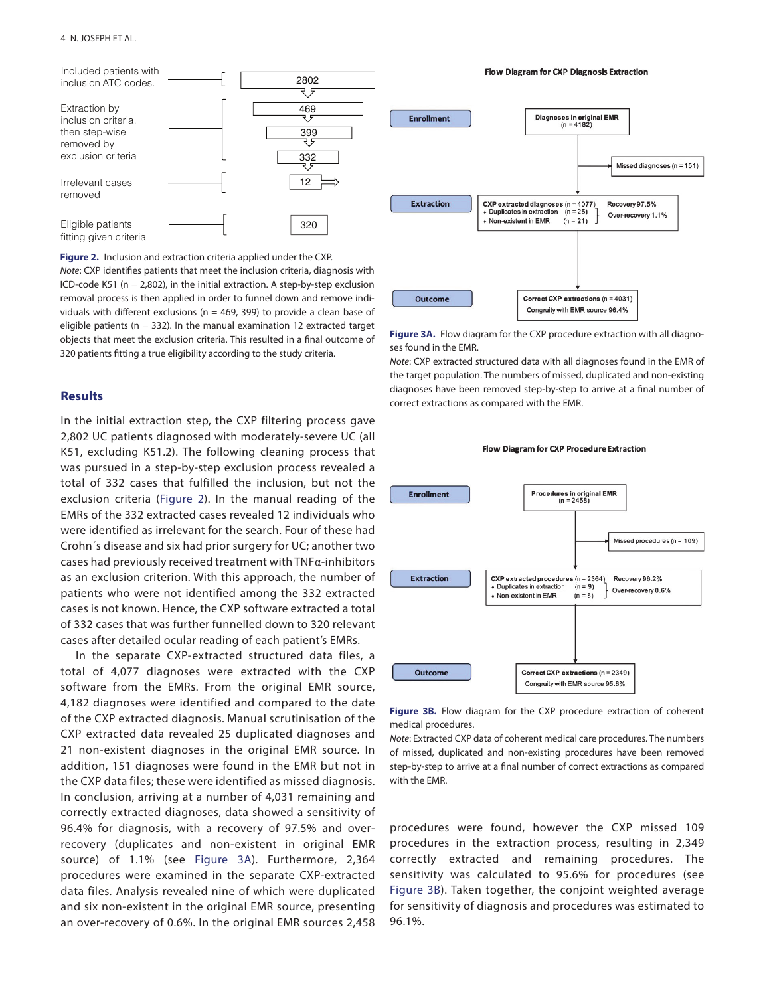

**[Figure 2.](#page-3-3)** Inclusion and extraction criteria applied under the CXP.

*Note*: CXP identifies patients that meet the inclusion criteria, diagnosis with ICD-code K51 ( $n = 2,802$ ), in the initial extraction. A step-by-step exclusion removal process is then applied in order to funnel down and remove individuals with different exclusions ( $n = 469$ , 399) to provide a clean base of eligible patients ( $n = 332$ ). In the manual examination 12 extracted target objects that meet the exclusion criteria. This resulted in a final outcome of 320 patients fitting a true eligibility according to the study criteria.

### **Results**

In the initial extraction step, the CXP filtering process gave 2,802 UC patients diagnosed with moderately-severe UC (all K51, excluding K51.2). The following cleaning process that was pursued in a step-by-step exclusion process revealed a total of 332 cases that fulfilled the inclusion, but not the exclusion criteria (Figure 2). In the manual reading of the EMRs of the 332 extracted cases revealed 12 individuals who were identified as irrelevant for the search. Four of these had Crohn´s disease and six had prior surgery for UC; another two cases had previously received treatment with TNFα-inhibitors as an exclusion criterion. With this approach, the number of patients who were not identified among the 332 extracted cases is not known. Hence, the CXP software extracted a total of 332 cases that was further funnelled down to 320 relevant cases after detailed ocular reading of each patient's EMRs.

In the separate CXP-extracted structured data files, a total of 4,077 diagnoses were extracted with the CXP software from the EMRs. From the original EMR source, 4,182 diagnoses were identified and compared to the date of the CXP extracted diagnosis. Manual scrutinisation of the CXP extracted data revealed 25 duplicated diagnoses and 21 non-existent diagnoses in the original EMR source. In addition, 151 diagnoses were found in the EMR but not in the CXP data files; these were identified as missed diagnosis. In conclusion, arriving at a number of 4,031 remaining and correctly extracted diagnoses, data showed a sensitivity of 96.4% for diagnosis, with a recovery of 97.5% and overrecovery (duplicates and non-existent in original EMR source) of 1.1% (see [Figure 3A](#page-3-0)). Furthermore, 2,364 procedures were examined in the separate CXP-extracted data files. Analysis revealed nine of which were duplicated and six non-existent in the original EMR source, presenting an over-recovery of 0.6%. In the original EMR sources 2,458



Flow Diagram for CXP Diagnosis Extraction

<span id="page-3-0"></span>**[Figure 3A.](#page-3-2)** Flow diagram for the CXP procedure extraction with all diagnoses found in the EMR.

*Note*: CXP extracted structured data with all diagnoses found in the EMR of the target population. The numbers of missed, duplicated and non-existing diagnoses have been removed step-by-step to arrive at a final number of correct extractions as compared with the EMR.

<span id="page-3-3"></span>

Flow Diagram for CXP Procedure Extraction

<span id="page-3-1"></span>**[Figure 3B.](#page-3-4)** Flow diagram for the CXP procedure extraction of coherent medical procedures.

*Note*: Extracted CXP data of coherent medical care procedures. The numbers of missed, duplicated and non-existing procedures have been removed step-by-step to arrive at a final number of correct extractions as compared with the EMR.

<span id="page-3-4"></span><span id="page-3-2"></span>procedures were found, however the CXP missed 109 procedures in the extraction process, resulting in 2,349 correctly extracted and remaining procedures. The sensitivity was calculated to 95.6% for procedures (see [Figure 3B](#page-3-1)). Taken together, the conjoint weighted average for sensitivity of diagnosis and procedures was estimated to 96.1%.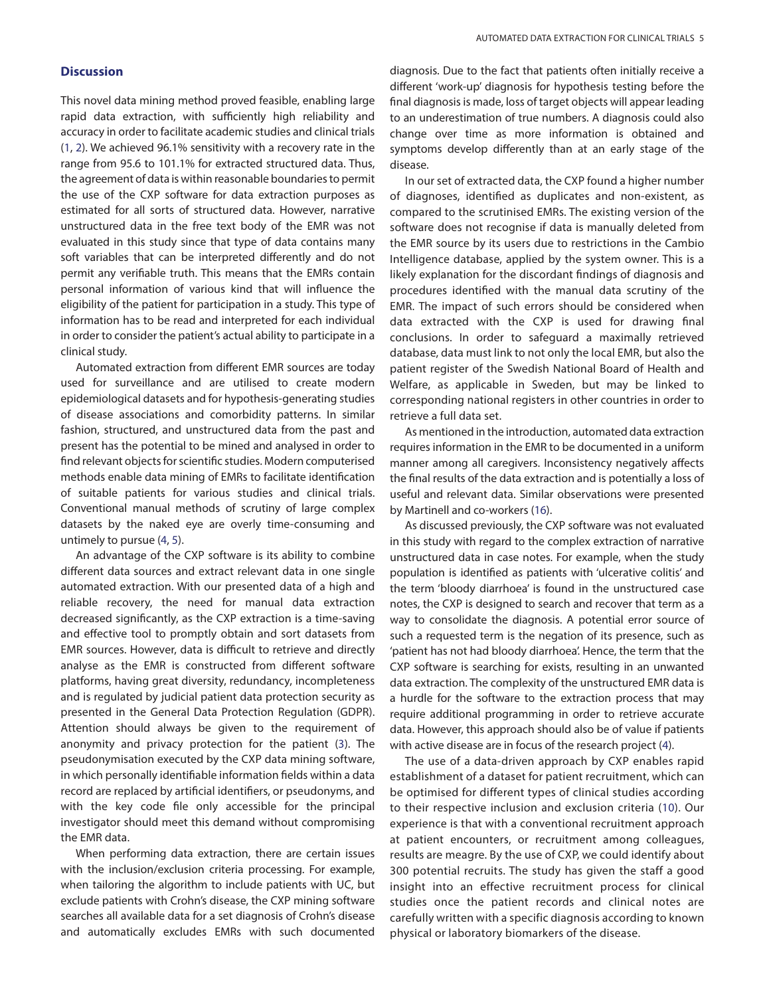### **Discussion**

<span id="page-4-1"></span>This novel data mining method proved feasible, enabling large rapid data extraction, with sufficiently high reliability and accuracy in order to facilitate academic studies and clinical trials [\(1,](#page-5-0) [2](#page-5-15)). We achieved 96.1% sensitivity with a recovery rate in the range from 95.6 to 101.1% for extracted structured data. Thus, the agreement of data is within reasonable boundaries to permit the use of the CXP software for data extraction purposes as estimated for all sorts of structured data. However, narrative unstructured data in the free text body of the EMR was not evaluated in this study since that type of data contains many soft variables that can be interpreted differently and do not permit any verifiable truth. This means that the EMRs contain personal information of various kind that will influence the eligibility of the patient for participation in a study. This type of information has to be read and interpreted for each individual in order to consider the patient's actual ability to participate in a clinical study.

Automated extraction from different EMR sources are today used for surveillance and are utilised to create modern epidemiological datasets and for hypothesis-generating studies of disease associations and comorbidity patterns. In similar fashion, structured, and unstructured data from the past and present has the potential to be mined and analysed in order to find relevant objects for scientific studies. Modern computerised methods enable data mining of EMRs to facilitate identification of suitable patients for various studies and clinical trials. Conventional manual methods of scrutiny of large complex datasets by the naked eye are overly time-consuming and untimely to pursue [\(4](#page-5-2), [5\)](#page-5-3).

An advantage of the CXP software is its ability to combine different data sources and extract relevant data in one single automated extraction. With our presented data of a high and reliable recovery, the need for manual data extraction decreased significantly, as the CXP extraction is a time-saving and effective tool to promptly obtain and sort datasets from EMR sources. However, data is difficult to retrieve and directly analyse as the EMR is constructed from different software platforms, having great diversity, redundancy, incompleteness and is regulated by judicial patient data protection security as presented in the General Data Protection Regulation (GDPR). Attention should always be given to the requirement of anonymity and privacy protection for the patient ([3\)](#page-5-1). The pseudonymisation executed by the CXP data mining software, in which personally identifiable information fields within a data record are replaced by artificial identifiers, or pseudonyms, and with the key code file only accessible for the principal investigator should meet this demand without compromising the EMR data.

When performing data extraction, there are certain issues with the inclusion/exclusion criteria processing. For example, when tailoring the algorithm to include patients with UC, but exclude patients with Crohn's disease, the CXP mining software searches all available data for a set diagnosis of Crohn's disease and automatically excludes EMRs with such documented diagnosis. Due to the fact that patients often initially receive a different 'work-up' diagnosis for hypothesis testing before the final diagnosis is made, loss of target objects will appear leading to an underestimation of true numbers. A diagnosis could also change over time as more information is obtained and symptoms develop differently than at an early stage of the disease.

In our set of extracted data, the CXP found a higher number of diagnoses, identified as duplicates and non-existent, as compared to the scrutinised EMRs. The existing version of the software does not recognise if data is manually deleted from the EMR source by its users due to restrictions in the Cambio Intelligence database, applied by the system owner. This is a likely explanation for the discordant findings of diagnosis and procedures identified with the manual data scrutiny of the EMR. The impact of such errors should be considered when data extracted with the CXP is used for drawing final conclusions. In order to safeguard a maximally retrieved database, data must link to not only the local EMR, but also the patient register of the Swedish National Board of Health and Welfare, as applicable in Sweden, but may be linked to corresponding national registers in other countries in order to retrieve a full data set.

As mentioned in the introduction, automated data extraction requires information in the EMR to be documented in a uniform manner among all caregivers. Inconsistency negatively affects the final results of the data extraction and is potentially a loss of useful and relevant data. Similar observations were presented by Martinell and co-workers ([16](#page-5-9)).

As discussed previously, the CXP software was not evaluated in this study with regard to the complex extraction of narrative unstructured data in case notes. For example, when the study population is identified as patients with 'ulcerative colitis' and the term 'bloody diarrhoea' is found in the unstructured case notes, the CXP is designed to search and recover that term as a way to consolidate the diagnosis. A potential error source of such a requested term is the negation of its presence, such as 'patient has not had bloody diarrhoea'. Hence, the term that the CXP software is searching for exists, resulting in an unwanted data extraction. The complexity of the unstructured EMR data is a hurdle for the software to the extraction process that may require additional programming in order to retrieve accurate data. However, this approach should also be of value if patients with active disease are in focus of the research project ([4\)](#page-5-2).

<span id="page-4-0"></span>The use of a data-driven approach by CXP enables rapid establishment of a dataset for patient recruitment, which can be optimised for different types of clinical studies according to their respective inclusion and exclusion criteria [\(10\)](#page-5-4). Our experience is that with a conventional recruitment approach at patient encounters, or recruitment among colleagues, results are meagre. By the use of CXP, we could identify about 300 potential recruits. The study has given the staff a good insight into an effective recruitment process for clinical studies once the patient records and clinical notes are carefully written with a specific diagnosis according to known physical or laboratory biomarkers of the disease.